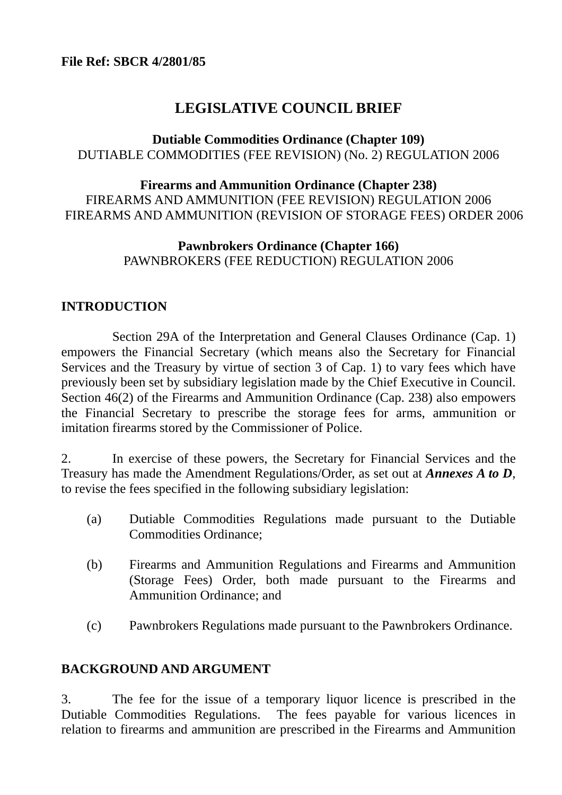# **LEGISLATIVE COUNCIL BRIEF**

## **Dutiable Commodities Ordinance (Chapter 109)**  DUTIABLE COMMODITIES (FEE REVISION) (No. 2) REGULATION 2006

## **Firearms and Ammunition Ordinance (Chapter 238)**  FIREARMS AND AMMUNITION (FEE REVISION) REGULATION 2006 FIREARMS AND AMMUNITION (REVISION OF STORAGE FEES) ORDER 2006

## **Pawnbrokers Ordinance (Chapter 166)**  PAWNBROKERS (FEE REDUCTION) REGULATION 2006

## **INTRODUCTION**

 Section 29A of the Interpretation and General Clauses Ordinance (Cap. 1) empowers the Financial Secretary (which means also the Secretary for Financial Services and the Treasury by virtue of section 3 of Cap. 1) to vary fees which have previously been set by subsidiary legislation made by the Chief Executive in Council. Section 46(2) of the Firearms and Ammunition Ordinance (Cap. 238) also empowers the Financial Secretary to prescribe the storage fees for arms, ammunition or imitation firearms stored by the Commissioner of Police.

2. In exercise of these powers, the Secretary for Financial Services and the Treasury has made the Amendment Regulations/Order, as set out at *Annexes A to D*, to revise the fees specified in the following subsidiary legislation:

- (a) Dutiable Commodities Regulations made pursuant to the Dutiable Commodities Ordinance;
- (b) Firearms and Ammunition Regulations and Firearms and Ammunition (Storage Fees) Order, both made pursuant to the Firearms and Ammunition Ordinance; and
- (c) Pawnbrokers Regulations made pursuant to the Pawnbrokers Ordinance.

## **BACKGROUND AND ARGUMENT**

3. The fee for the issue of a temporary liquor licence is prescribed in the Dutiable Commodities Regulations. The fees payable for various licences in relation to firearms and ammunition are prescribed in the Firearms and Ammunition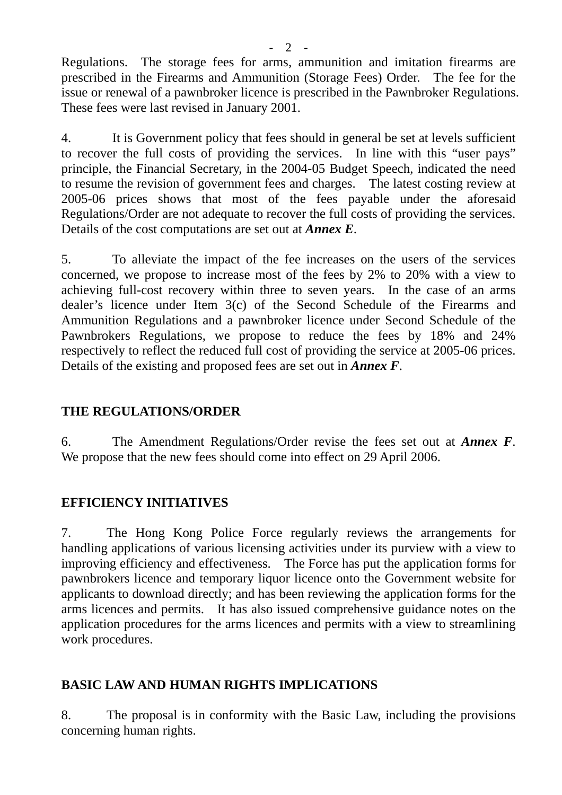Regulations. The storage fees for arms, ammunition and imitation firearms are prescribed in the Firearms and Ammunition (Storage Fees) Order. The fee for the issue or renewal of a pawnbroker licence is prescribed in the Pawnbroker Regulations. These fees were last revised in January 2001.

4. It is Government policy that fees should in general be set at levels sufficient to recover the full costs of providing the services. In line with this "user pays" principle, the Financial Secretary, in the 2004-05 Budget Speech, indicated the need to resume the revision of government fees and charges. The latest costing review at 2005-06 prices shows that most of the fees payable under the aforesaid Regulations/Order are not adequate to recover the full costs of providing the services. Details of the cost computations are set out at *Annex E*.

5. To alleviate the impact of the fee increases on the users of the services concerned, we propose to increase most of the fees by 2% to 20% with a view to achieving full-cost recovery within three to seven years. In the case of an arms dealer's licence under Item 3(c) of the Second Schedule of the Firearms and Ammunition Regulations and a pawnbroker licence under Second Schedule of the Pawnbrokers Regulations, we propose to reduce the fees by 18% and 24% respectively to reflect the reduced full cost of providing the service at 2005-06 prices. Details of the existing and proposed fees are set out in *Annex F*.

## **THE REGULATIONS/ORDER**

6. The Amendment Regulations/Order revise the fees set out at *Annex F*. We propose that the new fees should come into effect on 29 April 2006.

## **EFFICIENCY INITIATIVES**

7. The Hong Kong Police Force regularly reviews the arrangements for handling applications of various licensing activities under its purview with a view to improving efficiency and effectiveness. The Force has put the application forms for pawnbrokers licence and temporary liquor licence onto the Government website for applicants to download directly; and has been reviewing the application forms for the arms licences and permits. It has also issued comprehensive guidance notes on the application procedures for the arms licences and permits with a view to streamlining work procedures.

## **BASIC LAW AND HUMAN RIGHTS IMPLICATIONS**

8. The proposal is in conformity with the Basic Law, including the provisions concerning human rights.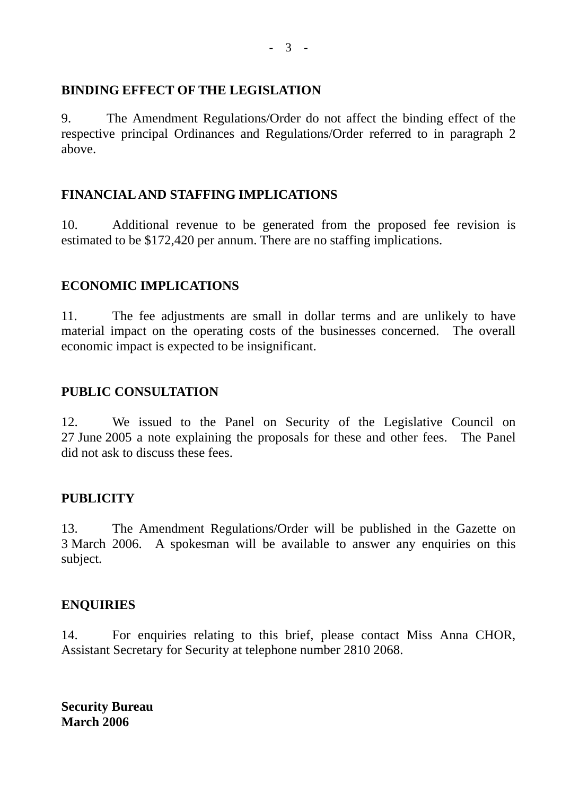## **BINDING EFFECT OF THE LEGISLATION**

9. The Amendment Regulations/Order do not affect the binding effect of the respective principal Ordinances and Regulations/Order referred to in paragraph 2 above.

## **FINANCIAL AND STAFFING IMPLICATIONS**

10. Additional revenue to be generated from the proposed fee revision is estimated to be \$172,420 per annum. There are no staffing implications.

## **ECONOMIC IMPLICATIONS**

11. The fee adjustments are small in dollar terms and are unlikely to have material impact on the operating costs of the businesses concerned. The overall economic impact is expected to be insignificant.

## **PUBLIC CONSULTATION**

12. We issued to the Panel on Security of the Legislative Council on 27 June 2005 a note explaining the proposals for these and other fees. The Panel did not ask to discuss these fees.

## **PUBLICITY**

13. The Amendment Regulations/Order will be published in the Gazette on 3 March 2006. A spokesman will be available to answer any enquiries on this subject.

## **ENQUIRIES**

14. For enquiries relating to this brief, please contact Miss Anna CHOR, Assistant Secretary for Security at telephone number 2810 2068.

**Security Bureau March 2006**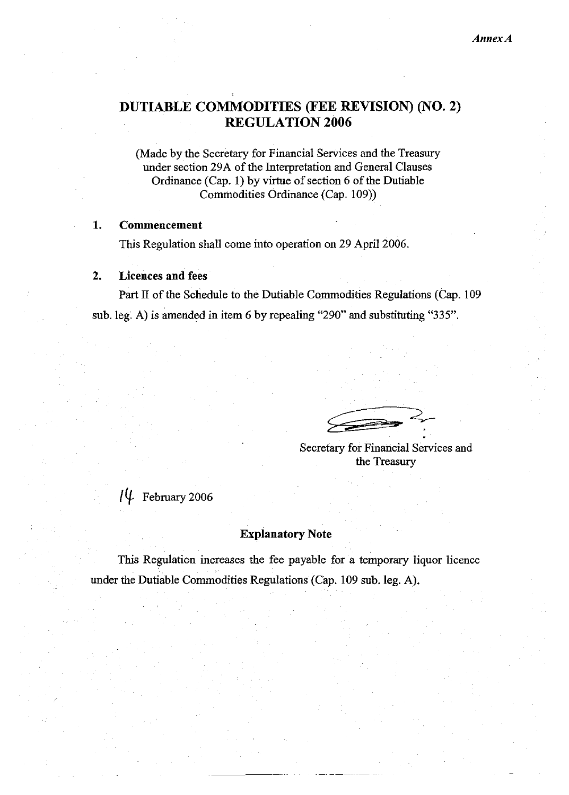## DUTIABLE COMMODITIES (FEE REVISION) (NO. 2) **REGULATION 2006**

(Made by the Secretary for Financial Services and the Treasury under section 29A of the Interpretation and General Clauses Ordinance (Cap. 1) by virtue of section 6 of the Dutiable Commodities Ordinance (Cap. 109))

#### $\mathbf{1}$ . Commencement

This Regulation shall come into operation on 29 April 2006.

#### $2.$ **Licences and fees**

Part II of the Schedule to the Dutiable Commodities Regulations (Cap. 109) sub. leg. A) is amended in item 6 by repealing "290" and substituting "335".

Secretary for Financial Services and the Treasury

# $\frac{10}{4}$  February 2006

### **Explanatory Note**

This Regulation increases the fee payable for a temporary liquor licence under the Dutiable Commodities Regulations (Cap. 109 sub. leg. A).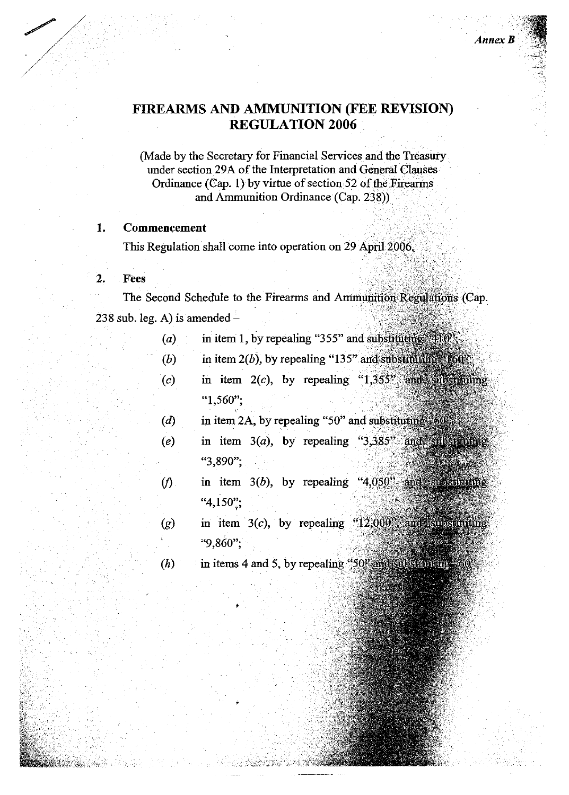## FIREARMS AND AMMUNITION (FEE REVISION) **REGULATION 2006**

**Annex B** 

(Made by the Secretary for Financial Services and the Treasury under section 29A of the Interpretation and General Clauses Ordinance (Cap. 1) by virtue of section 52 of the Firearms and Ammunition Ordinance (Cap. 238))

#### 1. **Commencement**

This Regulation shall come into operation on 29 April 2006.

### Fees

 $\mathbf{2}$ .

The Second Schedule to the Firearms and Ammunition Regulations (Cap.  $238$  sub. leg. A) is amended -

- in item 1, by repealing "355" and substituting "410"  $(a)$ 
	- in item  $2(b)$ , by repealing "135" and substituting  $(60)$ ".  $(b)$
- in item  $2(c)$ , by repealing "1,355" and substituting  $(c)$ " $1,560$ ";
- in item 2A, by repealing "50" and substituting "60  $\overline{d}$
- in item  $3(a)$ , by repealing " $3,385$ " and substituting  $(e)$ "3,890";
- in item  $3(b)$ , by repealing " $4,050$ " and substituting  $(f)$ " $4,150$ ":
- in item  $3(c)$ , by repealing " $12,000$ " and substituting  $(g)$ "9,860";
	- in items 4 and 5, by repealing "50" and substituting 60  $(h)$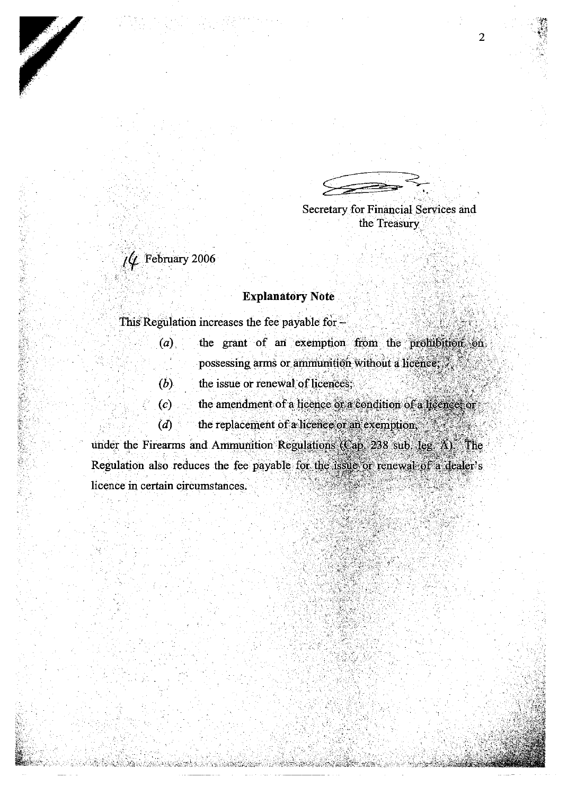| cretary for Financial Services and |  |  |
|------------------------------------|--|--|

Se d the Treasury

 $\hat{U}$  February 2006

していた。そのことに、このようには、そのように、このことを見ることを感じていたのでは、その意味を感じる場合を感じていた。 このことに、このことを見えていたので、このことになっていた。そのことに、このこ

### **Explanatory Note**

This Regulation increases the fee payable for  $-$ 

- the grant of an exemption from the prohibition on  $(a)$ possessing arms or ammunition without a licence, ...
- $(b)$ the issue or renewal of licences;
- $(c)$ the amendment of a licence or a condition of a licence, or
- $(d)$ the replacement of a licence or an exemption,

under the Firearms and Ammunition Regulations (Cap. 238 sub. leg. A) The Regulation also reduces the fee payable for the issue or renewal of a dealer's licence in certain circumstances.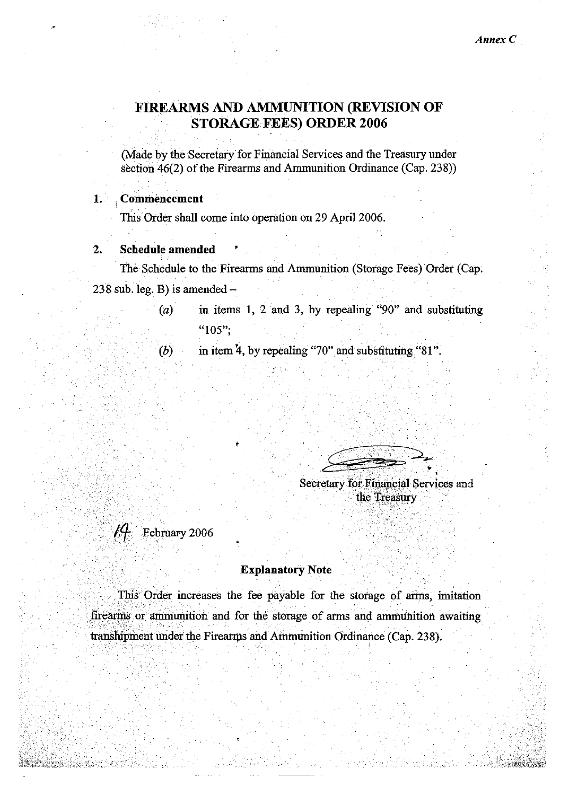## FIREARMS AND AMMUNITION (REVISION OF **STORAGE FEES) ORDER 2006**

(Made by the Secretary for Financial Services and the Treasury under section 46(2) of the Firearms and Ammunition Ordinance (Cap. 238))

#### Commencement 1.

This Order shall come into operation on 29 April 2006.

#### **Schedule amended**  $2.$

The Schedule to the Firearms and Ammunition (Storage Fees) Order (Cap. 238 sub. leg.  $\overrightarrow{B}$ ) is amended -

- in items 1, 2 and 3, by repealing "90" and substituting  $(a)$ " $105$ ":
- in item 4, by repealing "70" and substituting "81".  $(b)$

Secretary for Financial Services and the Treasury

 $14$  February 2006

### **Explanatory Note**

This Order increases the fee payable for the storage of arms, imitation firearms or ammunition and for the storage of arms and ammunition awaiting transhipment under the Firearms and Ammunition Ordinance (Cap. 238).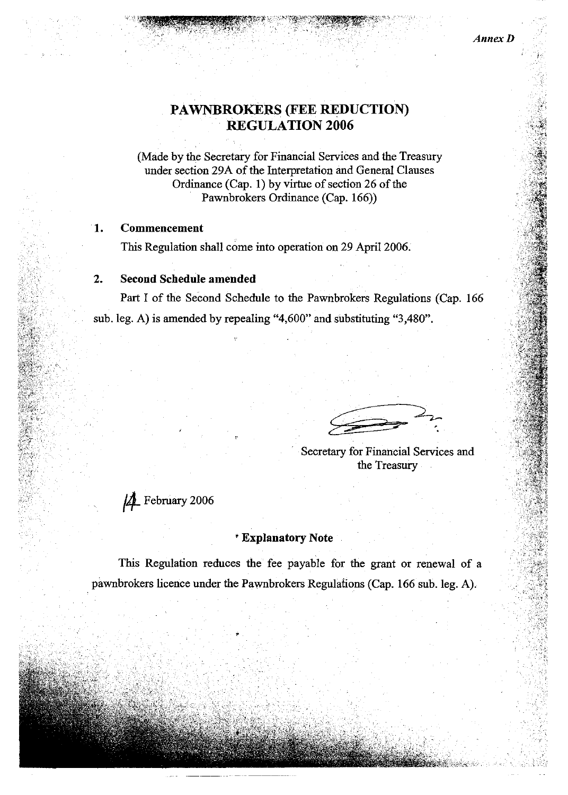## PAWNBROKERS (FEE REDUCTION) **REGULATION 2006**

(Made by the Secretary for Financial Services and the Treasury under section 29A of the Interpretation and General Clauses Ordinance (Cap. 1) by virtue of section 26 of the Pawnbrokers Ordinance (Cap. 166))

#### 1. Commencement

This Regulation shall come into operation on 29 April 2006.

#### **Second Schedule amended**  $2.$

Part I of the Second Schedule to the Pawnbrokers Regulations (Cap. 166) sub. leg. A) is amended by repealing "4,600" and substituting "3,480".

Secretary for Financial Services and the Treasury

A February 2006

### \* Explanatory Note

This Regulation reduces the fee payable for the grant or renewal of a pawnbrokers licence under the Pawnbrokers Regulations (Cap. 166 sub. leg. A).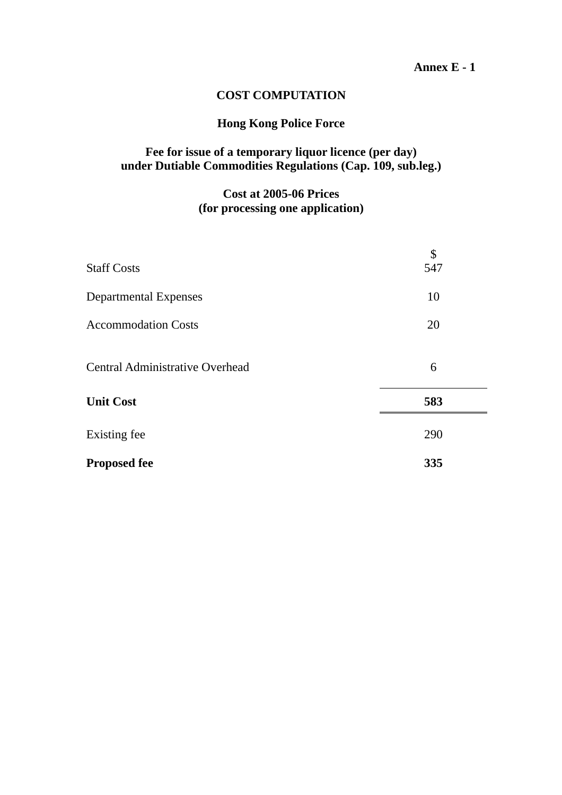### **Annex E - 1**

### **COST COMPUTATION**

### **Hong Kong Police Force**

### **Fee for issue of a temporary liquor licence (per day) under Dutiable Commodities Regulations (Cap. 109, sub.leg.)**

## **Cost at 2005-06 Prices (for processing one application)**

| <b>Staff Costs</b>                     | \$<br>547 |
|----------------------------------------|-----------|
| <b>Departmental Expenses</b>           | 10        |
| <b>Accommodation Costs</b>             | 20        |
| <b>Central Administrative Overhead</b> | 6         |
| <b>Unit Cost</b>                       | 583       |
| Existing fee                           | 290       |
| <b>Proposed fee</b>                    | 335       |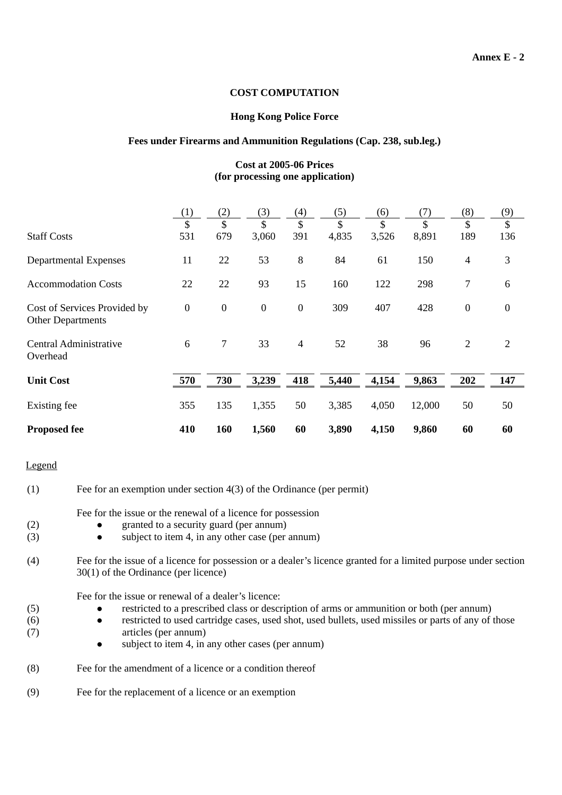### **COST COMPUTATION**

### **Hong Kong Police Force**

### **Fees under Firearms and Ammunition Regulations (Cap. 238, sub.leg.)**

### **Cost at 2005-06 Prices (for processing one application)**

|                                                   | (1)              | (2)            | (3)              | (4)            | (5)   | (6)   | (7)    | (8)              | (9)              |
|---------------------------------------------------|------------------|----------------|------------------|----------------|-------|-------|--------|------------------|------------------|
|                                                   | \$               | $\mathcal{S}$  | \$               | \$             | \$    | \$    | \$     | \$               | \$               |
| <b>Staff Costs</b>                                | 531              | 679            | 3,060            | 391            | 4,835 | 3,526 | 8,891  | 189              | 136              |
| <b>Departmental Expenses</b>                      | 11               | 22             | 53               | 8              | 84    | 61    | 150    | 4                | 3                |
| <b>Accommodation Costs</b>                        | 22               | 22             | 93               | 15             | 160   | 122   | 298    | 7                | 6                |
| Cost of Services Provided by<br>Other Departments | $\boldsymbol{0}$ | $\overline{0}$ | $\boldsymbol{0}$ | $\overline{0}$ | 309   | 407   | 428    | $\boldsymbol{0}$ | $\boldsymbol{0}$ |
| Central Administrative<br>Overhead                | 6                | $\tau$         | 33               | $\overline{4}$ | 52    | 38    | 96     | $\overline{2}$   | 2                |
| <b>Unit Cost</b>                                  | 570              | 730            | 3,239            | 418            | 5,440 | 4,154 | 9,863  | 202              | 147              |
| Existing fee                                      | 355              | 135            | 1,355            | 50             | 3,385 | 4,050 | 12,000 | 50               | 50               |
| <b>Proposed fee</b>                               | 410              | 160            | 1,560            | 60             | 3,890 | 4,150 | 9,860  | 60               | 60               |

### Legend

| (1)               | Fee for an exemption under section $4(3)$ of the Ordinance (per permit)                                                                                                                                                                                                                                                                                        |
|-------------------|----------------------------------------------------------------------------------------------------------------------------------------------------------------------------------------------------------------------------------------------------------------------------------------------------------------------------------------------------------------|
| (2)<br>(3)        | Fee for the issue or the renewal of a licence for possession<br>granted to a security guard (per annum)<br>subject to item 4, in any other case (per annum)<br>$\bullet$                                                                                                                                                                                       |
| (4)               | Fee for the issue of a licence for possession or a dealer's licence granted for a limited purpose under section<br>$30(1)$ of the Ordinance (per licence)                                                                                                                                                                                                      |
| (5)<br>(6)<br>(7) | Fee for the issue or renewal of a dealer's licence:<br>restricted to a prescribed class or description of arms or ammunition or both (per annum)<br>restricted to used cartridge cases, used shot, used bullets, used missiles or parts of any of those<br>$\bullet$<br>articles (per annum)<br>subject to item 4, in any other cases (per annum)<br>$\bullet$ |
| (8)               | Fee for the amendment of a licence or a condition thereof                                                                                                                                                                                                                                                                                                      |
| (9)               | Fee for the replacement of a licence or an exemption                                                                                                                                                                                                                                                                                                           |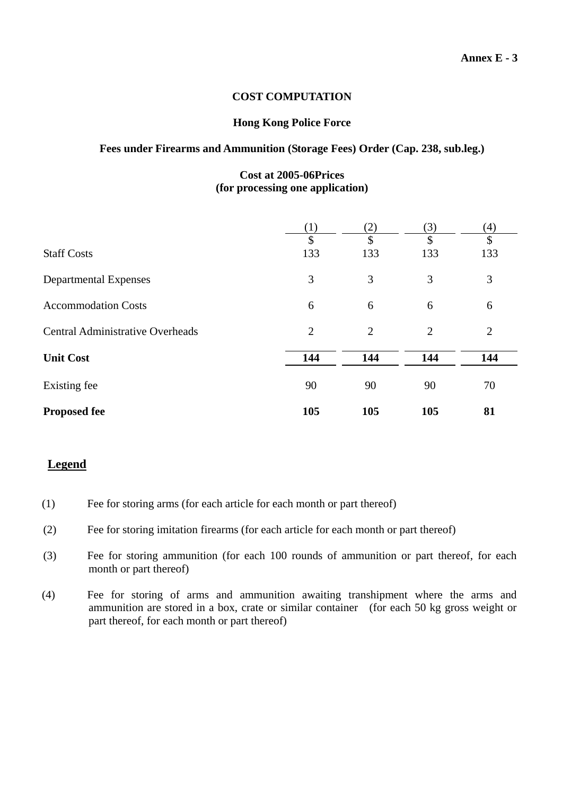### **COST COMPUTATION**

### **Hong Kong Police Force**

### **Fees under Firearms and Ammunition (Storage Fees) Order (Cap. 238, sub.leg.)**

### **Cost at 2005-06Prices (for processing one application)**

|                                         | $\left( 1\right)$ | (2)            | (3) | (4)            |
|-----------------------------------------|-------------------|----------------|-----|----------------|
|                                         | \$                | \$             | \$  | \$             |
| <b>Staff Costs</b>                      | 133               | 133            | 133 | 133            |
| <b>Departmental Expenses</b>            | 3                 | 3              | 3   | 3              |
| <b>Accommodation Costs</b>              | 6                 | 6              | 6   | 6              |
| <b>Central Administrative Overheads</b> | $\overline{2}$    | $\overline{2}$ | 2   | $\overline{2}$ |
| <b>Unit Cost</b>                        | 144               | 144            | 144 | 144            |
| Existing fee                            | 90                | 90             | 90  | 70             |
| <b>Proposed fee</b>                     | 105               | 105            | 105 | 81             |

### **Legend**

- (1) Fee for storing arms (for each article for each month or part thereof)
- (2) Fee for storing imitation firearms (for each article for each month or part thereof)
- (3) Fee for storing ammunition (for each 100 rounds of ammunition or part thereof, for each month or part thereof)
- (4) Fee for storing of arms and ammunition awaiting transhipment where the arms and ammunition are stored in a box, crate or similar container (for each 50 kg gross weight or part thereof, for each month or part thereof)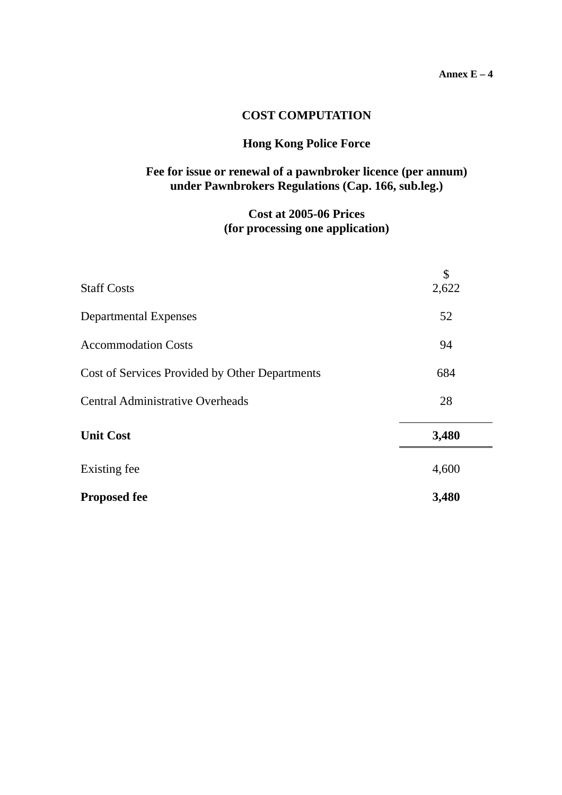### **COST COMPUTATION**

### **Hong Kong Police Force**

### **Fee for issue or renewal of a pawnbroker licence (per annum) under Pawnbrokers Regulations (Cap. 166, sub.leg.)**

## **Cost at 2005-06 Prices (for processing one application)**

| <b>Staff Costs</b>                             | \$<br>2,622 |
|------------------------------------------------|-------------|
| <b>Departmental Expenses</b>                   | 52          |
| <b>Accommodation Costs</b>                     | 94          |
| Cost of Services Provided by Other Departments | 684         |
| <b>Central Administrative Overheads</b>        | 28          |
| <b>Unit Cost</b>                               | 3,480       |
| Existing fee                                   | 4,600       |
| <b>Proposed fee</b>                            | 3,480       |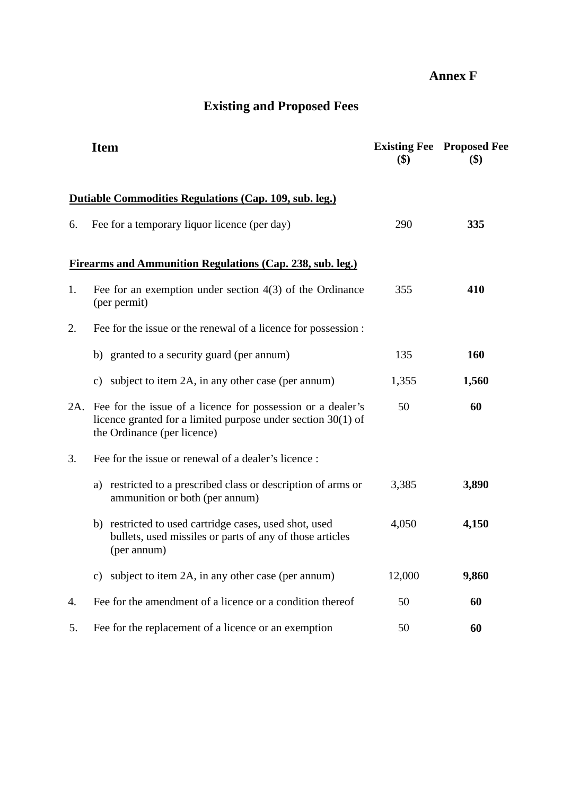## **Annex F**

# **Existing and Proposed Fees**

|     | <b>Item</b>                                                                                                                                                  | $\left( \text{\$}\right)$ | <b>Existing Fee Proposed Fee</b><br>$\left( \text{\$}\right)$ |
|-----|--------------------------------------------------------------------------------------------------------------------------------------------------------------|---------------------------|---------------------------------------------------------------|
|     | Dutiable Commodities Regulations (Cap. 109, sub. leg.)                                                                                                       |                           |                                                               |
| 6.  | Fee for a temporary liquor licence (per day)                                                                                                                 | 290                       | 335                                                           |
|     | Firearms and Ammunition Regulations (Cap. 238, sub. leg.)                                                                                                    |                           |                                                               |
| 1.  | Fee for an exemption under section $4(3)$ of the Ordinance<br>(per permit)                                                                                   | 355                       | 410                                                           |
| 2.  | Fee for the issue or the renewal of a licence for possession :                                                                                               |                           |                                                               |
|     | b) granted to a security guard (per annum)                                                                                                                   | 135                       | 160                                                           |
|     | subject to item 2A, in any other case (per annum)<br>C)                                                                                                      | 1,355                     | 1,560                                                         |
| 2A. | Fee for the issue of a licence for possession or a dealer's<br>licence granted for a limited purpose under section $30(1)$ of<br>the Ordinance (per licence) | 50                        | 60                                                            |
| 3.  | Fee for the issue or renewal of a dealer's licence :                                                                                                         |                           |                                                               |
|     | restricted to a prescribed class or description of arms or<br>a)<br>ammunition or both (per annum)                                                           | 3,385                     | 3,890                                                         |
|     | b) restricted to used cartridge cases, used shot, used<br>bullets, used missiles or parts of any of those articles<br>(per annum)                            | 4,050                     | 4,150                                                         |
|     | subject to item 2A, in any other case (per annum)<br>C)                                                                                                      | 12,000                    | 9,860                                                         |
| 4.  | Fee for the amendment of a licence or a condition thereof                                                                                                    | 50                        | 60                                                            |
| 5.  | Fee for the replacement of a licence or an exemption                                                                                                         | 50                        | 60                                                            |